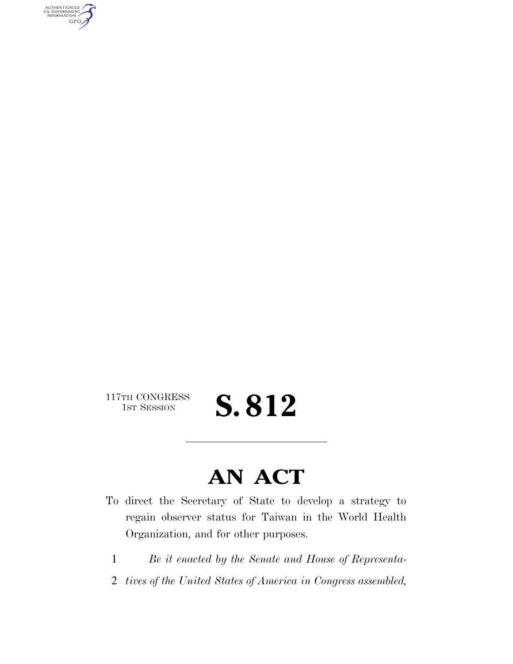AUTHENTICATED<br>U.S. GOVERNMENT<br>INFORMATION GPO

 $\begin{array}{c} \textbf{117TH CONGRESS} \\ \textbf{1ST SESION} \end{array}$ 

S. 812

## **AN ACT**

- To direct the Secretary of State to develop a strategy to regain observer status for Taiwan in the World Health Organization, and for other purposes.
	- 1 *Be it enacted by the Senate and House of Representa-*
	- 2 *tives of the United States of America in Congress assembled,*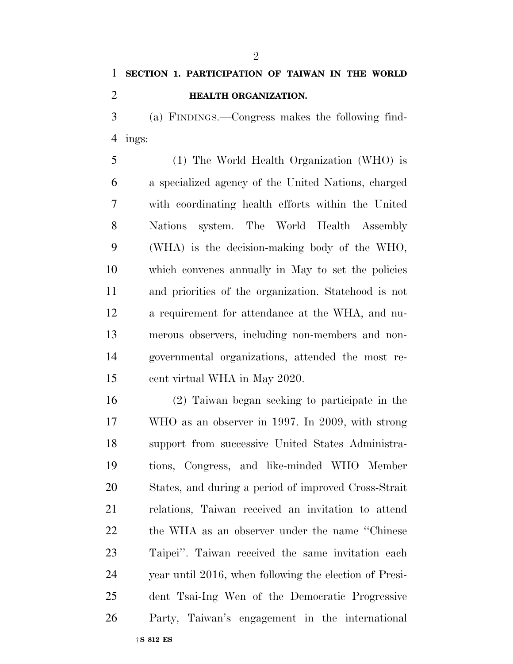## **SECTION 1. PARTICIPATION OF TAIWAN IN THE WORLD**

**HEALTH ORGANIZATION.** 

 (a) FINDINGS.—Congress makes the following find-ings:

 (1) The World Health Organization (WHO) is a specialized agency of the United Nations, charged with coordinating health efforts within the United Nations system. The World Health Assembly (WHA) is the decision-making body of the WHO, which convenes annually in May to set the policies and priorities of the organization. Statehood is not a requirement for attendance at the WHA, and nu- merous observers, including non-members and non- governmental organizations, attended the most re-cent virtual WHA in May 2020.

†**S 812 ES** (2) Taiwan began seeking to participate in the WHO as an observer in 1997. In 2009, with strong support from successive United States Administra- tions, Congress, and like-minded WHO Member States, and during a period of improved Cross-Strait relations, Taiwan received an invitation to attend the WHA as an observer under the name ''Chinese Taipei''. Taiwan received the same invitation each year until 2016, when following the election of Presi- dent Tsai-Ing Wen of the Democratic Progressive Party, Taiwan's engagement in the international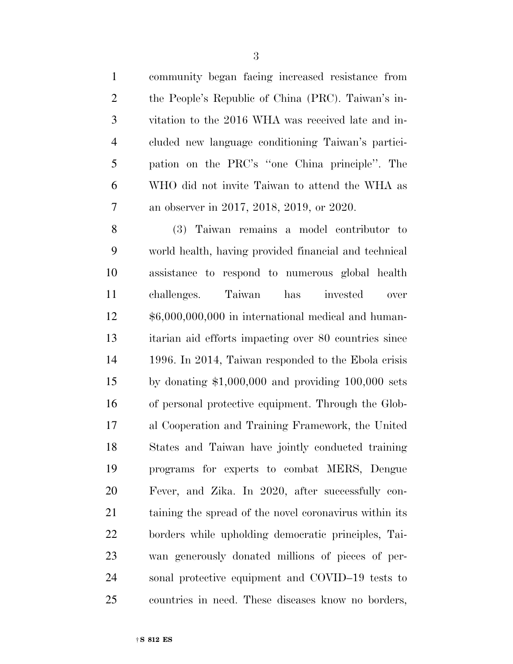community began facing increased resistance from the People's Republic of China (PRC). Taiwan's in- vitation to the 2016 WHA was received late and in- cluded new language conditioning Taiwan's partici- pation on the PRC's ''one China principle''. The WHO did not invite Taiwan to attend the WHA as an observer in 2017, 2018, 2019, or 2020.

 (3) Taiwan remains a model contributor to world health, having provided financial and technical assistance to respond to numerous global health challenges. Taiwan has invested over \$6,000,000,000 in international medical and human- itarian aid efforts impacting over 80 countries since 1996. In 2014, Taiwan responded to the Ebola crisis by donating \$1,000,000 and providing 100,000 sets of personal protective equipment. Through the Glob- al Cooperation and Training Framework, the United States and Taiwan have jointly conducted training programs for experts to combat MERS, Dengue Fever, and Zika. In 2020, after successfully con- taining the spread of the novel coronavirus within its borders while upholding democratic principles, Tai- wan generously donated millions of pieces of per- sonal protective equipment and COVID–19 tests to countries in need. These diseases know no borders,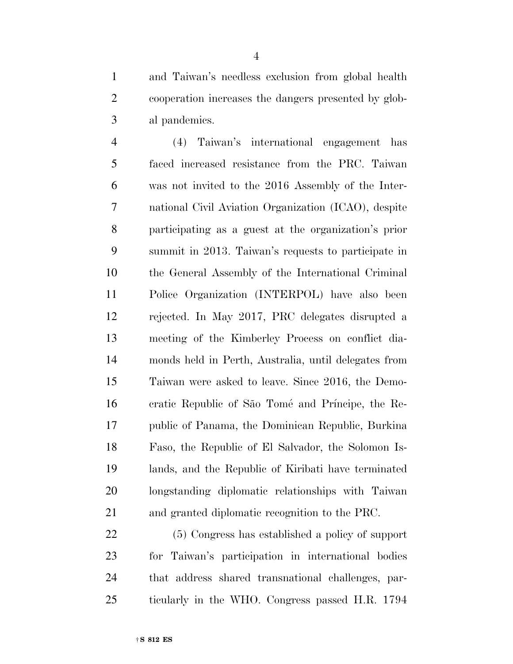and Taiwan's needless exclusion from global health cooperation increases the dangers presented by glob-al pandemics.

 (4) Taiwan's international engagement has faced increased resistance from the PRC. Taiwan was not invited to the 2016 Assembly of the Inter- national Civil Aviation Organization (ICAO), despite participating as a guest at the organization's prior summit in 2013. Taiwan's requests to participate in the General Assembly of the International Criminal Police Organization (INTERPOL) have also been rejected. In May 2017, PRC delegates disrupted a meeting of the Kimberley Process on conflict dia- monds held in Perth, Australia, until delegates from Taiwan were asked to leave. Since 2016, the Demo-16 cratic Republic of São Tomé and Príncipe, the Re- public of Panama, the Dominican Republic, Burkina Faso, the Republic of El Salvador, the Solomon Is- lands, and the Republic of Kiribati have terminated longstanding diplomatic relationships with Taiwan and granted diplomatic recognition to the PRC.

 (5) Congress has established a policy of support for Taiwan's participation in international bodies that address shared transnational challenges, par-ticularly in the WHO. Congress passed H.R. 1794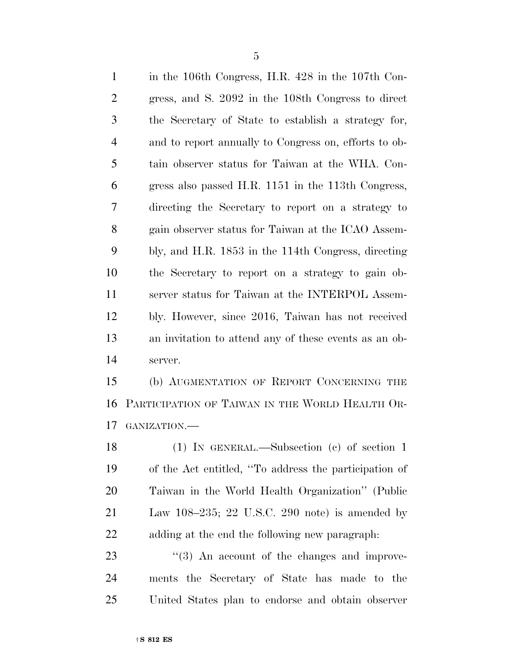in the 106th Congress, H.R. 428 in the 107th Con- gress, and S. 2092 in the 108th Congress to direct the Secretary of State to establish a strategy for, and to report annually to Congress on, efforts to ob- tain observer status for Taiwan at the WHA. Con- gress also passed H.R. 1151 in the 113th Congress, directing the Secretary to report on a strategy to gain observer status for Taiwan at the ICAO Assem- bly, and H.R. 1853 in the 114th Congress, directing the Secretary to report on a strategy to gain ob- server status for Taiwan at the INTERPOL Assem- bly. However, since 2016, Taiwan has not received an invitation to attend any of these events as an ob-server.

 (b) AUGMENTATION OF REPORT CONCERNING THE PARTICIPATION OF TAIWAN IN THE WORLD HEALTH OR-GANIZATION.—

 (1) IN GENERAL.—Subsection (c) of section 1 of the Act entitled, ''To address the participation of Taiwan in the World Health Organization'' (Public Law 108–235; 22 U.S.C. 290 note) is amended by adding at the end the following new paragraph:

 ''(3) An account of the changes and improve- ments the Secretary of State has made to the United States plan to endorse and obtain observer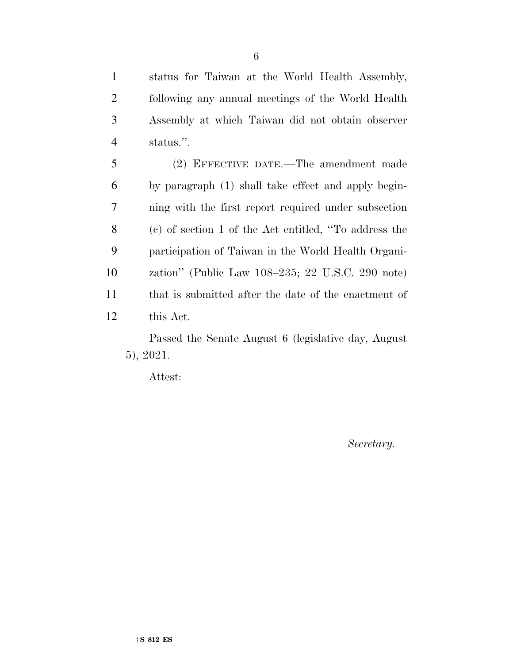status for Taiwan at the World Health Assembly, following any annual meetings of the World Health Assembly at which Taiwan did not obtain observer status.''.

 (2) EFFECTIVE DATE.—The amendment made by paragraph (1) shall take effect and apply begin- ning with the first report required under subsection (c) of section 1 of the Act entitled, ''To address the participation of Taiwan in the World Health Organi- zation'' (Public Law 108–235; 22 U.S.C. 290 note) that is submitted after the date of the enactment of this Act.

Passed the Senate August 6 (legislative day, August 5), 2021.

Attest:

*Secretary.*